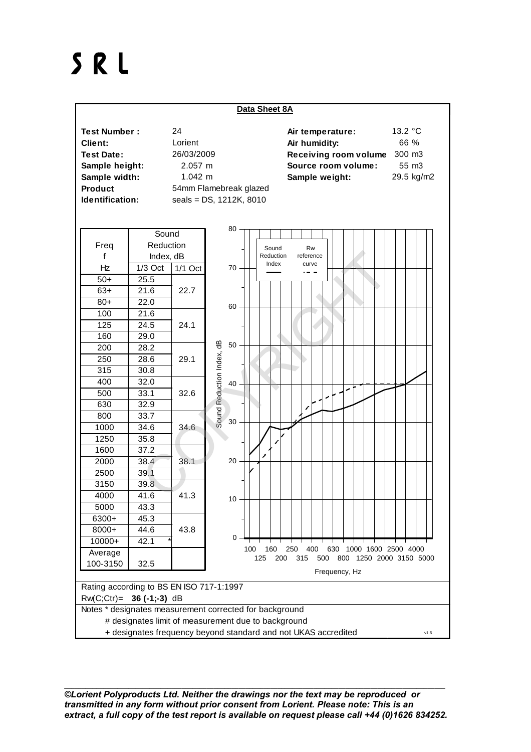## SRL



*©Lorient Polyproducts Ltd. Neither the drawings nor the text may be reproduced or transmitted in any form without prior consent from Lorient. Please note: This is an extract, a full copy of the test report is available on request please call +44 (0)1626 834252.*

\_\_\_\_\_\_\_\_\_\_\_\_\_\_\_\_\_\_\_\_\_\_\_\_\_\_\_\_\_\_\_\_\_\_\_\_\_\_\_\_\_\_\_\_\_\_\_\_\_\_\_\_\_\_\_\_\_\_\_\_\_\_\_\_\_\_\_\_\_\_\_\_\_\_\_\_\_\_\_\_\_\_\_\_\_\_\_\_\_\_\_\_\_\_\_\_\_\_\_\_\_\_\_\_\_\_\_